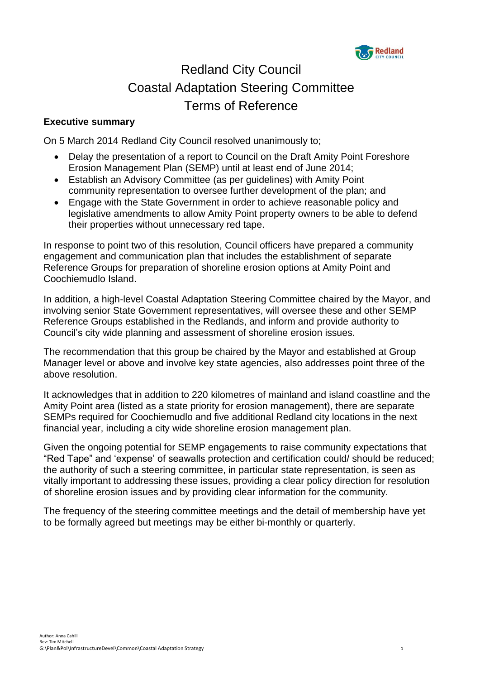

# Redland City Council Coastal Adaptation Steering Committee Terms of Reference

# **Executive summary**

On 5 March 2014 Redland City Council resolved unanimously to;

- Delay the presentation of a report to Council on the Draft Amity Point Foreshore Erosion Management Plan (SEMP) until at least end of June 2014;
- Establish an Advisory Committee (as per guidelines) with Amity Point community representation to oversee further development of the plan; and
- Engage with the State Government in order to achieve reasonable policy and legislative amendments to allow Amity Point property owners to be able to defend their properties without unnecessary red tape.

In response to point two of this resolution, Council officers have prepared a community engagement and communication plan that includes the establishment of separate Reference Groups for preparation of shoreline erosion options at Amity Point and Coochiemudlo Island.

In addition, a high-level Coastal Adaptation Steering Committee chaired by the Mayor, and involving senior State Government representatives, will oversee these and other SEMP Reference Groups established in the Redlands, and inform and provide authority to Council's city wide planning and assessment of shoreline erosion issues.

The recommendation that this group be chaired by the Mayor and established at Group Manager level or above and involve key state agencies, also addresses point three of the above resolution.

It acknowledges that in addition to 220 kilometres of mainland and island coastline and the Amity Point area (listed as a state priority for erosion management), there are separate SEMPs required for Coochiemudlo and five additional Redland city locations in the next financial year, including a city wide shoreline erosion management plan.

Given the ongoing potential for SEMP engagements to raise community expectations that "Red Tape" and 'expense' of seawalls protection and certification could/ should be reduced; the authority of such a steering committee, in particular state representation, is seen as vitally important to addressing these issues, providing a clear policy direction for resolution of shoreline erosion issues and by providing clear information for the community.

The frequency of the steering committee meetings and the detail of membership have yet to be formally agreed but meetings may be either bi-monthly or quarterly.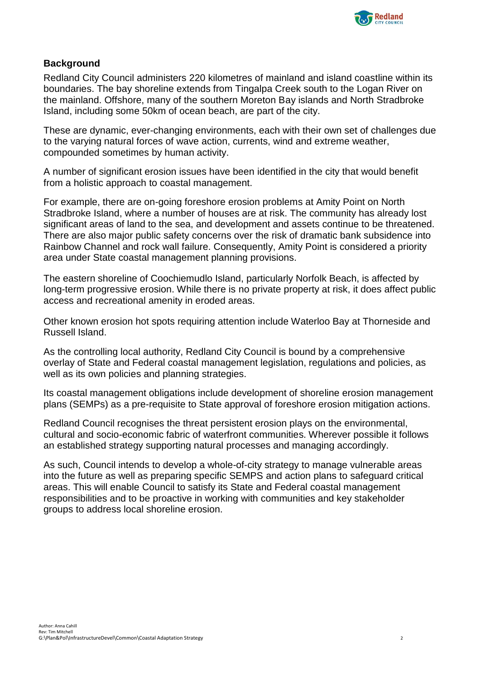

# **Background**

Redland City Council administers 220 kilometres of mainland and island coastline within its boundaries. The bay shoreline extends from Tingalpa Creek south to the Logan River on the mainland. Offshore, many of the southern Moreton Bay islands and North Stradbroke Island, including some 50km of ocean beach, are part of the city.

These are dynamic, ever-changing environments, each with their own set of challenges due to the varying natural forces of wave action, currents, wind and extreme weather, compounded sometimes by human activity.

A number of significant erosion issues have been identified in the city that would benefit from a holistic approach to coastal management.

For example, there are on-going foreshore erosion problems at Amity Point on North Stradbroke Island, where a number of houses are at risk. The community has already lost significant areas of land to the sea, and development and assets continue to be threatened. There are also major public safety concerns over the risk of dramatic bank subsidence into Rainbow Channel and rock wall failure. Consequently, Amity Point is considered a priority area under State coastal management planning provisions.

The eastern shoreline of Coochiemudlo Island, particularly Norfolk Beach, is affected by long-term progressive erosion. While there is no private property at risk, it does affect public access and recreational amenity in eroded areas.

Other known erosion hot spots requiring attention include Waterloo Bay at Thorneside and Russell Island.

As the controlling local authority, Redland City Council is bound by a comprehensive overlay of State and Federal coastal management legislation, regulations and policies, as well as its own policies and planning strategies.

Its coastal management obligations include development of shoreline erosion management plans (SEMPs) as a pre-requisite to State approval of foreshore erosion mitigation actions.

Redland Council recognises the threat persistent erosion plays on the environmental, cultural and socio-economic fabric of waterfront communities. Wherever possible it follows an established strategy supporting natural processes and managing accordingly.

As such, Council intends to develop a whole-of-city strategy to manage vulnerable areas into the future as well as preparing specific SEMPS and action plans to safeguard critical areas. This will enable Council to satisfy its State and Federal coastal management responsibilities and to be proactive in working with communities and key stakeholder groups to address local shoreline erosion.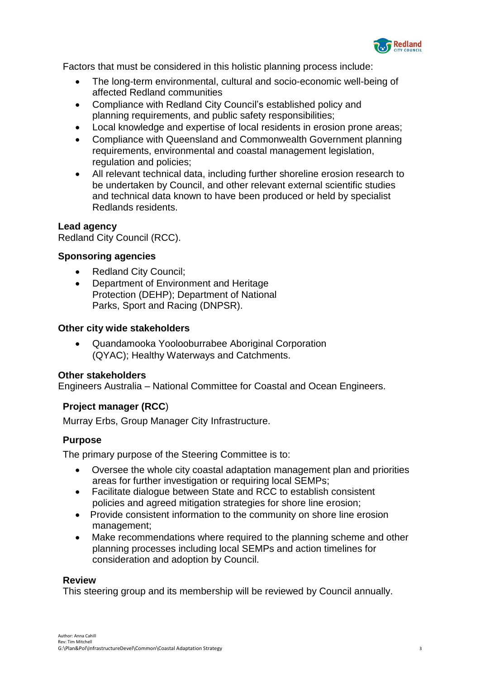

Factors that must be considered in this holistic planning process include:

- The long-term environmental, cultural and socio-economic well-being of affected Redland communities
- Compliance with Redland City Council's established policy and planning requirements, and public safety responsibilities;
- Local knowledge and expertise of local residents in erosion prone areas;
- Compliance with Queensland and Commonwealth Government planning requirements, environmental and coastal management legislation, regulation and policies;
- All relevant technical data, including further shoreline erosion research to be undertaken by Council, and other relevant external scientific studies and technical data known to have been produced or held by specialist Redlands residents.

# **Lead agency**

Redland City Council (RCC).

# **Sponsoring agencies**

- Redland City Council;
- Department of Environment and Heritage Protection (DEHP); Department of National Parks, Sport and Racing (DNPSR).

#### **Other city wide stakeholders**

 Quandamooka Yoolooburrabee Aboriginal Corporation (QYAC); Healthy Waterways and Catchments.

# **Other stakeholders**

Engineers Australia – National Committee for Coastal and Ocean Engineers.

# **Project manager (RCC**)

Murray Erbs, Group Manager City Infrastructure.

# **Purpose**

The primary purpose of the Steering Committee is to:

- Oversee the whole city coastal adaptation management plan and priorities areas for further investigation or requiring local SEMPs;
- Facilitate dialogue between State and RCC to establish consistent policies and agreed mitigation strategies for shore line erosion;
- Provide consistent information to the community on shore line erosion management;
- Make recommendations where required to the planning scheme and other planning processes including local SEMPs and action timelines for consideration and adoption by Council.

#### **Review**

This steering group and its membership will be reviewed by Council annually.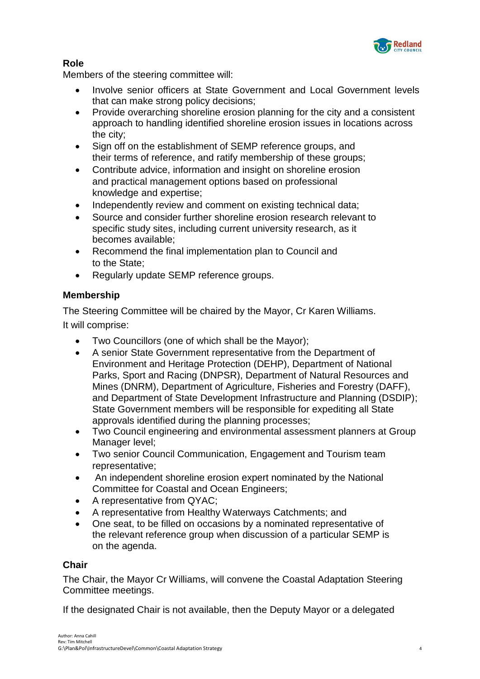

# **Role**

Members of the steering committee will:

- Involve senior officers at State Government and Local Government levels that can make strong policy decisions;
- Provide overarching shoreline erosion planning for the city and a consistent approach to handling identified shoreline erosion issues in locations across the city;
- Sign off on the establishment of SEMP reference groups, and their terms of reference, and ratify membership of these groups;
- Contribute advice, information and insight on shoreline erosion and practical management options based on professional knowledge and expertise;
- Independently review and comment on existing technical data;
- Source and consider further shoreline erosion research relevant to specific study sites, including current university research, as it becomes available;
- Recommend the final implementation plan to Council and to the State;
- Regularly update SEMP reference groups.

# **Membership**

The Steering Committee will be chaired by the Mayor, Cr Karen Williams. It will comprise:

- Two Councillors (one of which shall be the Mayor);
- A senior State Government representative from the Department of Environment and Heritage Protection (DEHP), Department of National Parks, Sport and Racing (DNPSR), Department of Natural Resources and Mines (DNRM), Department of Agriculture, Fisheries and Forestry (DAFF), and Department of State Development Infrastructure and Planning (DSDIP); State Government members will be responsible for expediting all State approvals identified during the planning processes;
- Two Council engineering and environmental assessment planners at Group Manager level;
- Two senior Council Communication, Engagement and Tourism team representative;
- An independent shoreline erosion expert nominated by the National Committee for Coastal and Ocean Engineers;
- A representative from QYAC;
- A representative from Healthy Waterways Catchments; and
- One seat, to be filled on occasions by a nominated representative of the relevant reference group when discussion of a particular SEMP is on the agenda.

# **Chair**

The Chair, the Mayor Cr Williams, will convene the Coastal Adaptation Steering Committee meetings.

If the designated Chair is not available, then the Deputy Mayor or a delegated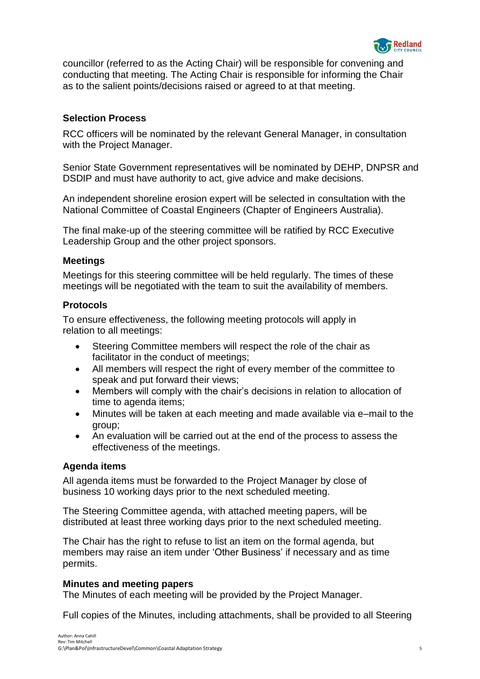

councillor (referred to as the Acting Chair) will be responsible for convening and conducting that meeting. The Acting Chair is responsible for informing the Chair as to the salient points/decisions raised or agreed to at that meeting.

# **Selection Process**

RCC officers will be nominated by the relevant General Manager, in consultation with the Project Manager.

Senior State Government representatives will be nominated by DEHP, DNPSR and DSDIP and must have authority to act, give advice and make decisions.

An independent shoreline erosion expert will be selected in consultation with the National Committee of Coastal Engineers (Chapter of Engineers Australia).

The final make-up of the steering committee will be ratified by RCC Executive Leadership Group and the other project sponsors.

# **Meetings**

Meetings for this steering committee will be held regularly. The times of these meetings will be negotiated with the team to suit the availability of members.

# **Protocols**

To ensure effectiveness, the following meeting protocols will apply in relation to all meetings:

- Steering Committee members will respect the role of the chair as facilitator in the conduct of meetings;
- All members will respect the right of every member of the committee to speak and put forward their views;
- Members will comply with the chair's decisions in relation to allocation of time to agenda items;
- Minutes will be taken at each meeting and made available via e–mail to the group;
- An evaluation will be carried out at the end of the process to assess the effectiveness of the meetings.

# **Agenda items**

All agenda items must be forwarded to the Project Manager by close of business 10 working days prior to the next scheduled meeting.

The Steering Committee agenda, with attached meeting papers, will be distributed at least three working days prior to the next scheduled meeting.

The Chair has the right to refuse to list an item on the formal agenda, but members may raise an item under 'Other Business' if necessary and as time permits.

# **Minutes and meeting papers**

The Minutes of each meeting will be provided by the Project Manager.

Full copies of the Minutes, including attachments, shall be provided to all Steering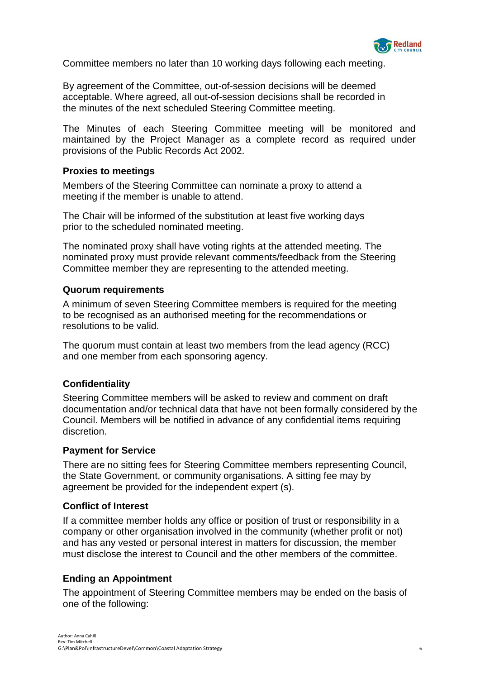

Committee members no later than 10 working days following each meeting.

By agreement of the Committee, out-of-session decisions will be deemed acceptable. Where agreed, all out-of-session decisions shall be recorded in the minutes of the next scheduled Steering Committee meeting.

The Minutes of each Steering Committee meeting will be monitored and maintained by the Project Manager as a complete record as required under provisions of the Public Records Act 2002.

#### **Proxies to meetings**

Members of the Steering Committee can nominate a proxy to attend a meeting if the member is unable to attend.

The Chair will be informed of the substitution at least five working days prior to the scheduled nominated meeting.

The nominated proxy shall have voting rights at the attended meeting. The nominated proxy must provide relevant comments/feedback from the Steering Committee member they are representing to the attended meeting.

#### **Quorum requirements**

A minimum of seven Steering Committee members is required for the meeting to be recognised as an authorised meeting for the recommendations or resolutions to be valid.

The quorum must contain at least two members from the lead agency (RCC) and one member from each sponsoring agency.

# **Confidentiality**

Steering Committee members will be asked to review and comment on draft documentation and/or technical data that have not been formally considered by the Council. Members will be notified in advance of any confidential items requiring discretion.

#### **Payment for Service**

There are no sitting fees for Steering Committee members representing Council, the State Government, or community organisations. A sitting fee may by agreement be provided for the independent expert (s).

#### **Conflict of Interest**

If a committee member holds any office or position of trust or responsibility in a company or other organisation involved in the community (whether profit or not) and has any vested or personal interest in matters for discussion, the member must disclose the interest to Council and the other members of the committee.

# **Ending an Appointment**

The appointment of Steering Committee members may be ended on the basis of one of the following: